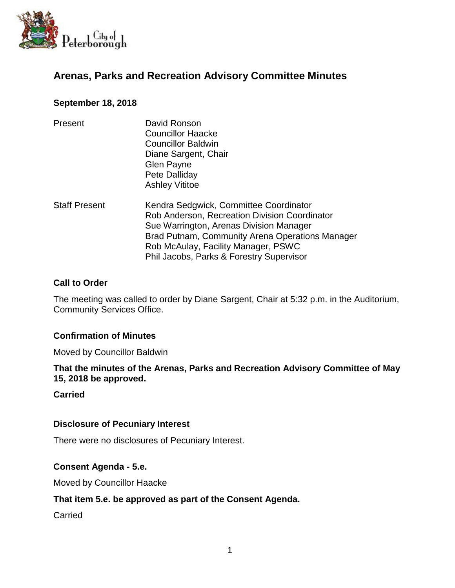

# **Arenas, Parks and Recreation Advisory Committee Minutes**

## **September 18, 2018**

| Present              | David Ronson<br><b>Councillor Haacke</b><br><b>Councillor Baldwin</b><br>Diane Sargent, Chair<br>Glen Payne<br>Pete Dalliday<br><b>Ashley Vititoe</b>                                                                                                                    |
|----------------------|--------------------------------------------------------------------------------------------------------------------------------------------------------------------------------------------------------------------------------------------------------------------------|
| <b>Staff Present</b> | Kendra Sedgwick, Committee Coordinator<br>Rob Anderson, Recreation Division Coordinator<br>Sue Warrington, Arenas Division Manager<br>Brad Putnam, Community Arena Operations Manager<br>Rob McAulay, Facility Manager, PSWC<br>Phil Jacobs, Parks & Forestry Supervisor |

### **Call to Order**

The meeting was called to order by Diane Sargent, Chair at 5:32 p.m. in the Auditorium, Community Services Office.

## **Confirmation of Minutes**

Moved by Councillor Baldwin

#### **That the minutes of the Arenas, Parks and Recreation Advisory Committee of May 15, 2018 be approved.**

#### **Carried**

#### **Disclosure of Pecuniary Interest**

There were no disclosures of Pecuniary Interest.

#### **Consent Agenda - 5.e.**

Moved by Councillor Haacke

#### **That item 5.e. be approved as part of the Consent Agenda.**

Carried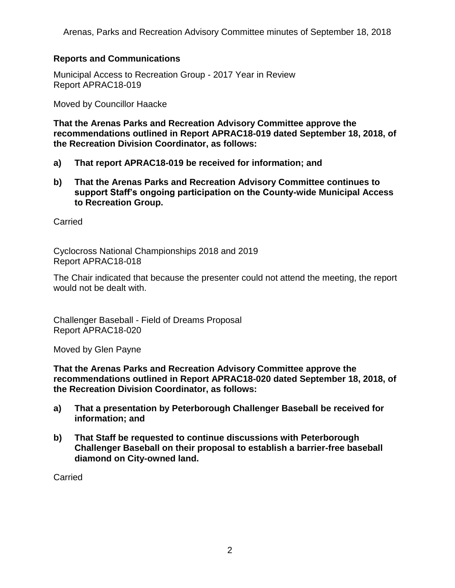Arenas, Parks and Recreation Advisory Committee minutes of September 18, 2018

## **Reports and Communications**

Municipal Access to Recreation Group - 2017 Year in Review Report APRAC18-019

Moved by Councillor Haacke

**That the Arenas Parks and Recreation Advisory Committee approve the recommendations outlined in Report APRAC18-019 dated September 18, 2018, of the Recreation Division Coordinator, as follows:**

- **a) That report APRAC18-019 be received for information; and**
- **b) That the Arenas Parks and Recreation Advisory Committee continues to support Staff's ongoing participation on the County-wide Municipal Access to Recreation Group.**

**Carried** 

Cyclocross National Championships 2018 and 2019 Report APRAC18-018

The Chair indicated that because the presenter could not attend the meeting, the report would not be dealt with.

Challenger Baseball - Field of Dreams Proposal Report APRAC18-020

Moved by Glen Payne

**That the Arenas Parks and Recreation Advisory Committee approve the recommendations outlined in Report APRAC18-020 dated September 18, 2018, of the Recreation Division Coordinator, as follows:**

- **a) That a presentation by Peterborough Challenger Baseball be received for information; and**
- **b) That Staff be requested to continue discussions with Peterborough Challenger Baseball on their proposal to establish a barrier-free baseball diamond on City-owned land.**

Carried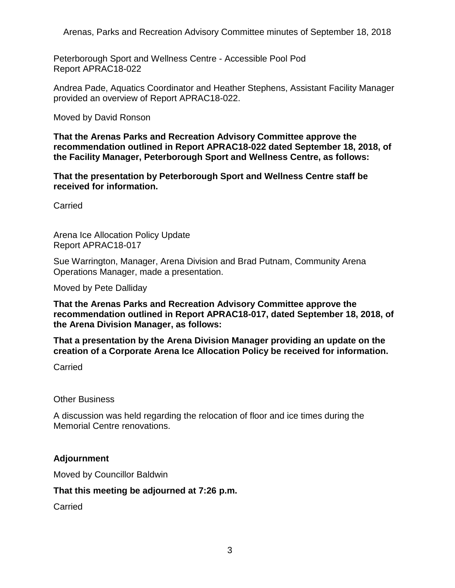Arenas, Parks and Recreation Advisory Committee minutes of September 18, 2018

Peterborough Sport and Wellness Centre - Accessible Pool Pod Report APRAC18-022

Andrea Pade, Aquatics Coordinator and Heather Stephens, Assistant Facility Manager provided an overview of Report APRAC18-022.

Moved by David Ronson

**That the Arenas Parks and Recreation Advisory Committee approve the recommendation outlined in Report APRAC18-022 dated September 18, 2018, of the Facility Manager, Peterborough Sport and Wellness Centre, as follows:**

**That the presentation by Peterborough Sport and Wellness Centre staff be received for information.**

Carried

Arena Ice Allocation Policy Update Report APRAC18-017

Sue Warrington, Manager, Arena Division and Brad Putnam, Community Arena Operations Manager, made a presentation.

Moved by Pete Dalliday

**That the Arenas Parks and Recreation Advisory Committee approve the recommendation outlined in Report APRAC18-017, dated September 18, 2018, of the Arena Division Manager, as follows:**

**That a presentation by the Arena Division Manager providing an update on the creation of a Corporate Arena Ice Allocation Policy be received for information.**

Carried

Other Business

A discussion was held regarding the relocation of floor and ice times during the Memorial Centre renovations.

## **Adjournment**

Moved by Councillor Baldwin

#### **That this meeting be adjourned at 7:26 p.m.**

Carried